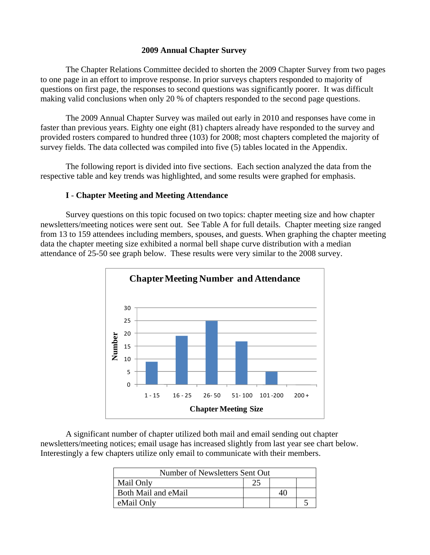#### **2009 Annual Chapter Survey**

The Chapter Relations Committee decided to shorten the 2009 Chapter Survey from two pages to one page in an effort to improve response. In prior surveys chapters responded to majority of questions on first page, the responses to second questions was significantly poorer. It was difficult making valid conclusions when only 20 % of chapters responded to the second page questions.

The 2009 Annual Chapter Survey was mailed out early in 2010 and responses have come in faster than previous years. Eighty one eight (81) chapters already have responded to the survey and provided rosters compared to hundred three (103) for 2008; most chapters completed the majority of survey fields. The data collected was compiled into five (5) tables located in the Appendix.

 The following report is divided into five sections. Each section analyzed the data from the respective table and key trends was highlighted, and some results were graphed for emphasis.

#### **I** - **Chapter Meeting and Meeting Attendance**

 Survey questions on this topic focused on two topics: chapter meeting size and how chapter newsletters/meeting notices were sent out. See Table A for full details. Chapter meeting size ranged from 13 to 159 attendees including members, spouses, and guests. When graphing the chapter meeting data the chapter meeting size exhibited a normal bell shape curve distribution with a median attendance of 25-50 see graph below. These results were very similar to the 2008 survey.



 A significant number of chapter utilized both mail and email sending out chapter newsletters/meeting notices; email usage has increased slightly from last year see chart below. Interestingly a few chapters utilize only email to communicate with their members.

| Number of Newsletters Sent Out |     |  |  |
|--------------------------------|-----|--|--|
| Mail Only                      | າ 5 |  |  |
| Both Mail and eMail            |     |  |  |
| eMail Only                     |     |  |  |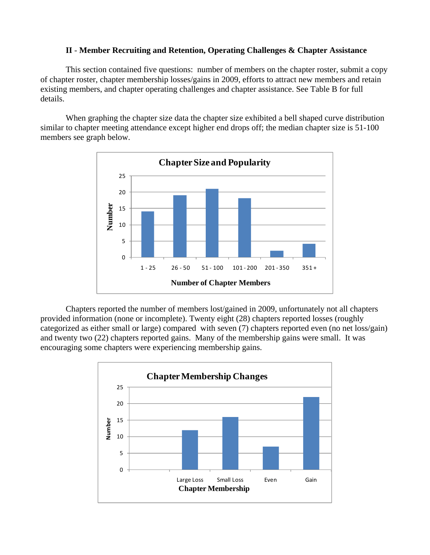### **II** - **Member Recruiting and Retention, Operating Challenges & Chapter Assistance**

 This section contained five questions: number of members on the chapter roster, submit a copy of chapter roster, chapter membership losses/gains in 2009, efforts to attract new members and retain existing members, and chapter operating challenges and chapter assistance. See Table B for full details.

 When graphing the chapter size data the chapter size exhibited a bell shaped curve distribution similar to chapter meeting attendance except higher end drops off; the median chapter size is 51-100 members see graph below.



 Chapters reported the number of members lost/gained in 2009, unfortunately not all chapters provided information (none or incomplete). Twenty eight (28) chapters reported losses (roughly categorized as either small or large) compared with seven (7) chapters reported even (no net loss/gain) and twenty two (22) chapters reported gains. Many of the membership gains were small. It was encouraging some chapters were experiencing membership gains.

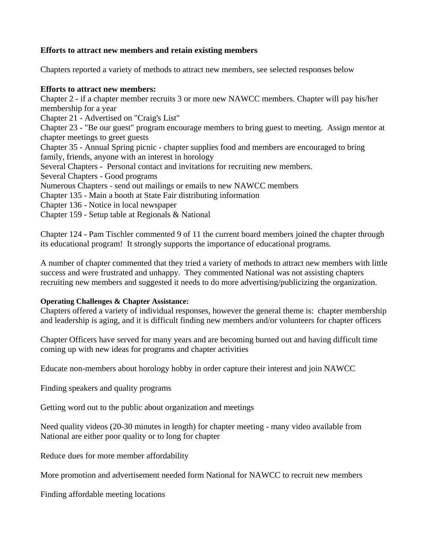### **Efforts to attract new members and retain existing members**

Chapters reported a variety of methods to attract new members, see selected responses below

### **Efforts to attract new members:**

Chapter 2 - if a chapter member recruits 3 or more new NAWCC members. Chapter will pay his/her membership for a year Chapter 21 - Advertised on "Craig's List" Chapter 23 - "Be our guest" program encourage members to bring guest to meeting. Assign mentor at chapter meetings to greet guests Chapter 35 - Annual Spring picnic - chapter supplies food and members are encouraged to bring family, friends, anyone with an interest in horology Several Chapters - Personal contact and invitations for recruiting new members. Several Chapters - Good programs Numerous Chapters - send out mailings or emails to new NAWCC members Chapter 135 - Main a booth at State Fair distributing information Chapter 136 - Notice in local newspaper Chapter 159 - Setup table at Regionals & National

Chapter 124 - Pam Tischler commented 9 of 11 the current board members joined the chapter through its educational program! It strongly supports the importance of educational programs.

A number of chapter commented that they tried a variety of methods to attract new members with little success and were frustrated and unhappy. They commented National was not assisting chapters recruiting new members and suggested it needs to do more advertising/publicizing the organization.

## **Operating Challenges & Chapter Assistance:**

Chapters offered a variety of individual responses, however the general theme is: chapter membership and leadership is aging, and it is difficult finding new members and/or volunteers for chapter officers

Chapter Officers have served for many years and are becoming burned out and having difficult time coming up with new ideas for programs and chapter activities

Educate non-members about horology hobby in order capture their interest and join NAWCC

Finding speakers and quality programs

Getting word out to the public about organization and meetings

Need quality videos (20-30 minutes in length) for chapter meeting - many video available from National are either poor quality or to long for chapter

Reduce dues for more member affordability

More promotion and advertisement needed form National for NAWCC to recruit new members

Finding affordable meeting locations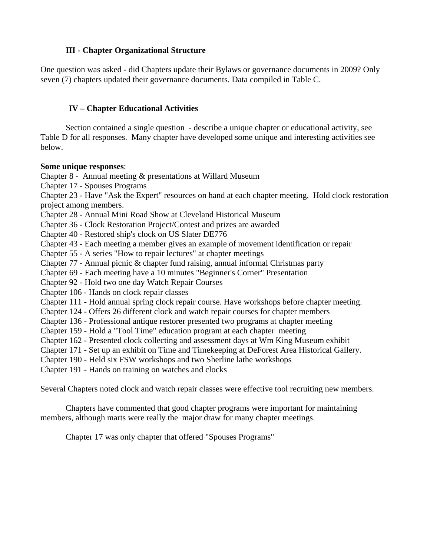## **III - Chapter Organizational Structure**

One question was asked - did Chapters update their Bylaws or governance documents in 2009? Only seven (7) chapters updated their governance documents. Data compiled in Table C.

## **IV – Chapter Educational Activities**

Section contained a single question - describe a unique chapter or educational activity, see Table D for all responses. Many chapter have developed some unique and interesting activities see below.

### **Some unique responses**:

Chapter 8 - Annual meeting & presentations at Willard Museum

Chapter 17 - Spouses Programs

Chapter 23 - Have "Ask the Expert" resources on hand at each chapter meeting. Hold clock restoration project among members.

Chapter 28 - Annual Mini Road Show at Cleveland Historical Museum

Chapter 36 - Clock Restoration Project/Contest and prizes are awarded

Chapter 40 - Restored ship's clock on US Slater DE776

Chapter 43 - Each meeting a member gives an example of movement identification or repair

Chapter 55 - A series "How to repair lectures" at chapter meetings

Chapter 77 - Annual picnic & chapter fund raising, annual informal Christmas party

Chapter 69 - Each meeting have a 10 minutes "Beginner's Corner" Presentation

Chapter 92 - Hold two one day Watch Repair Courses

Chapter 106 - Hands on clock repair classes

Chapter 111 - Hold annual spring clock repair course. Have workshops before chapter meeting.

Chapter 124 - Offers 26 different clock and watch repair courses for chapter members

Chapter 136 - Professional antique restorer presented two programs at chapter meeting

Chapter 159 - Hold a "Tool Time" education program at each chapter meeting

Chapter 162 - Presented clock collecting and assessment days at Wm King Museum exhibit

Chapter 171 - Set up an exhibit on Time and Timekeeping at DeForest Area Historical Gallery.

Chapter 190 - Held six FSW workshops and two Sherline lathe workshops

Chapter 191 - Hands on training on watches and clocks

Several Chapters noted clock and watch repair classes were effective tool recruiting new members.

Chapters have commented that good chapter programs were important for maintaining members, although marts were really the major draw for many chapter meetings.

Chapter 17 was only chapter that offered "Spouses Programs"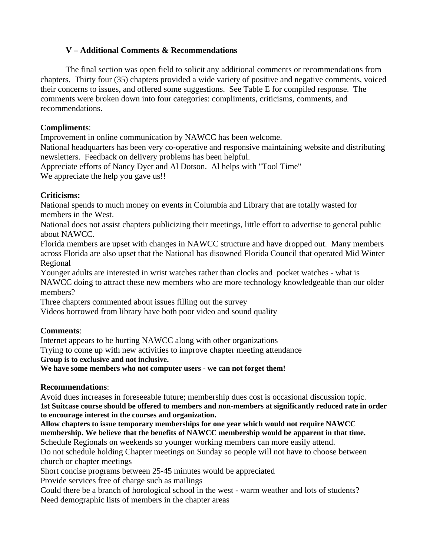# **V – Additional Comments & Recommendations**

The final section was open field to solicit any additional comments or recommendations from chapters. Thirty four (35) chapters provided a wide variety of positive and negative comments, voiced their concerns to issues, and offered some suggestions. See Table E for compiled response. The comments were broken down into four categories: compliments, criticisms, comments, and recommendations.

## **Compliments**:

Improvement in online communication by NAWCC has been welcome.

National headquarters has been very co-operative and responsive maintaining website and distributing newsletters. Feedback on delivery problems has been helpful.

Appreciate efforts of Nancy Dyer and Al Dotson. Al helps with "Tool Time" We appreciate the help you gave us!!

# **Criticisms:**

National spends to much money on events in Columbia and Library that are totally wasted for members in the West.

National does not assist chapters publicizing their meetings, little effort to advertise to general public about NAWCC.

Florida members are upset with changes in NAWCC structure and have dropped out. Many members across Florida are also upset that the National has disowned Florida Council that operated Mid Winter Regional

Younger adults are interested in wrist watches rather than clocks and pocket watches - what is NAWCC doing to attract these new members who are more technology knowledgeable than our older

members?

Three chapters commented about issues filling out the survey

Videos borrowed from library have both poor video and sound quality

## **Comments**:

Internet appears to be hurting NAWCC along with other organizations

Trying to come up with new activities to improve chapter meeting attendance

**Group is to exclusive and not inclusive.** 

**We have some members who not computer users - we can not forget them!** 

## **Recommendations**:

Avoid dues increases in foreseeable future; membership dues cost is occasional discussion topic. **1st Suitcase course should be offered to members and non-members at significantly reduced rate in order to encourage interest in the courses and organization.** 

**Allow chapters to issue temporary memberships for one year which would not require NAWCC membership. We believe that the benefits of NAWCC membership would be apparent in that time.**  Schedule Regionals on weekends so younger working members can more easily attend.

Do not schedule holding Chapter meetings on Sunday so people will not have to choose between church or chapter meetings

Short concise programs between 25-45 minutes would be appreciated

Provide services free of charge such as mailings

Could there be a branch of horological school in the west - warm weather and lots of students? Need demographic lists of members in the chapter areas